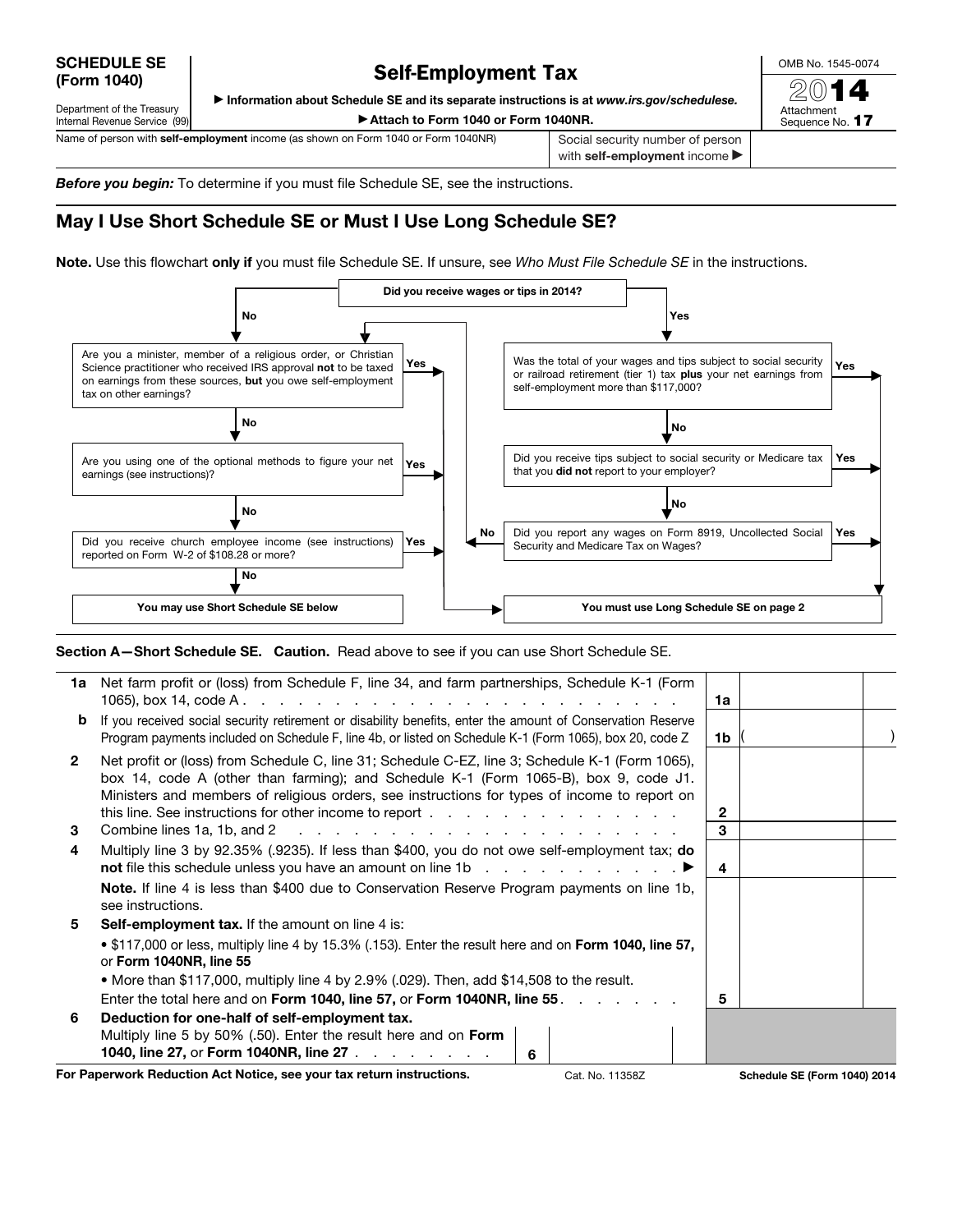SCHEDULE SE (Form 1040)

Department of the Treasury

## Self-Employment Tax

OMB No. 1545-0074

▶ Information about Schedule SE and its separate instructions is at *www.irs.gov/schedulese.*

▶ Attach to Form 1040 or Form 1040NR.

Internal Revenue Service (99) Name of person with **self-employment** income (as shown on Form 1040 or Form 1040NR) Social security number of person

with self-employment income

*Before you begin:* To determine if you must file Schedule SE, see the instructions.

## May I Use Short Schedule SE or Must I Use Long Schedule SE?

Note. Use this flowchart only if you must file Schedule SE. If unsure, see *Who Must File Schedule SE* in the instructions.



Section A-Short Schedule SE. Caution. Read above to see if you can use Short Schedule SE.

|                                                                                          | 1a Net farm profit or (loss) from Schedule F, line 34, and farm partnerships, Schedule K-1 (Form                                                                                                                                                                                        | 1a           |                              |  |
|------------------------------------------------------------------------------------------|-----------------------------------------------------------------------------------------------------------------------------------------------------------------------------------------------------------------------------------------------------------------------------------------|--------------|------------------------------|--|
| b                                                                                        | If you received social security retirement or disability benefits, enter the amount of Conservation Reserve<br>Program payments included on Schedule F, line 4b, or listed on Schedule K-1 (Form 1065), box 20, code Z                                                                  | 1b           |                              |  |
| $\mathbf{2}$                                                                             | Net profit or (loss) from Schedule C, line 31; Schedule C-EZ, line 3; Schedule K-1 (Form 1065),<br>box 14, code A (other than farming); and Schedule K-1 (Form 1065-B), box 9, code J1.<br>Ministers and members of religious orders, see instructions for types of income to report on | $\mathbf{2}$ |                              |  |
| 3                                                                                        |                                                                                                                                                                                                                                                                                         | 3            |                              |  |
| 4                                                                                        | Multiply line 3 by 92.35% (.9235). If less than \$400, you do not owe self-employment tax; do<br><b>not</b> file this schedule unless you have an amount on line 1b $\ldots$ $\ldots$ $\ldots$ $\ldots$                                                                                 |              |                              |  |
|                                                                                          | <b>Note.</b> If line 4 is less than \$400 due to Conservation Reserve Program payments on line 1b,<br>see instructions.                                                                                                                                                                 |              |                              |  |
| 5                                                                                        | <b>Self-employment tax.</b> If the amount on line 4 is:                                                                                                                                                                                                                                 |              |                              |  |
|                                                                                          | . \$117,000 or less, multiply line 4 by 15.3% (.153). Enter the result here and on Form 1040, line 57,<br>or Form 1040NR, line 55                                                                                                                                                       |              |                              |  |
|                                                                                          | • More than \$117,000, multiply line 4 by 2.9% (.029). Then, add \$14,508 to the result.                                                                                                                                                                                                |              |                              |  |
|                                                                                          | Enter the total here and on Form 1040, line 57, or Form 1040NR, line 55. All Assets of the contract of Europe                                                                                                                                                                           | 5            |                              |  |
| 6                                                                                        | Deduction for one-half of self-employment tax.                                                                                                                                                                                                                                          |              |                              |  |
|                                                                                          | Multiply line 5 by 50% (.50). Enter the result here and on <b>Form</b><br>1040, line 27, or Form 1040NR, line 27<br>6                                                                                                                                                                   |              |                              |  |
| For Paperwork Reduction Act Notice, see your tax return instructions.<br>Cat. No. 11358Z |                                                                                                                                                                                                                                                                                         |              | Schedule SE (Form 1040) 2014 |  |

2014 Attachment Sequence No. 17